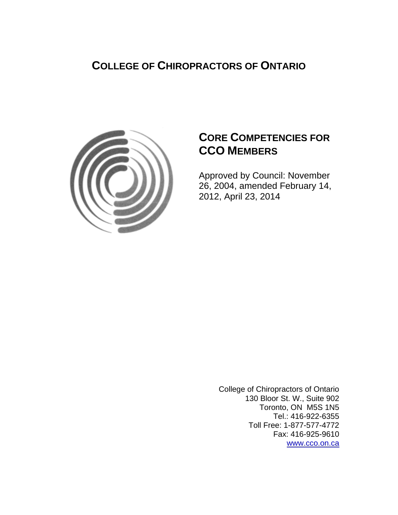## **COLLEGE OF CHIROPRACTORS OF ONTARIO**



## **CORE COMPETENCIES FOR CCO MEMBERS**

Approved by Council: November 26, 2004, amended February 14, 2012, April 23, 2014

> College of Chiropractors of Ontario 130 Bloor St. W., Suite 902 Toronto, ON M5S 1N5 Tel.: 416-922-6355 Toll Free: 1-877-577-4772 Fax: 416-925-9610 www.cco.on.ca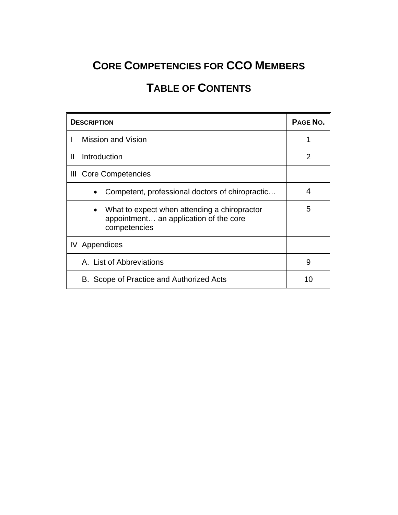# **CORE COMPETENCIES FOR CCO MEMBERS**

# **TABLE OF CONTENTS**

| <b>DESCRIPTION</b> |                                                                                                                     | PAGE NO.       |
|--------------------|---------------------------------------------------------------------------------------------------------------------|----------------|
|                    | Mission and Vision                                                                                                  |                |
| Ш                  | Introduction                                                                                                        | $\overline{2}$ |
|                    | III Core Competencies                                                                                               |                |
|                    | Competent, professional doctors of chiropractic                                                                     | 4              |
|                    | What to expect when attending a chiropractor<br>$\bullet$<br>appointment an application of the core<br>competencies | 5              |
|                    | <b>IV</b> Appendices                                                                                                |                |
|                    | A. List of Abbreviations                                                                                            | 9              |
|                    | B. Scope of Practice and Authorized Acts<br>10                                                                      |                |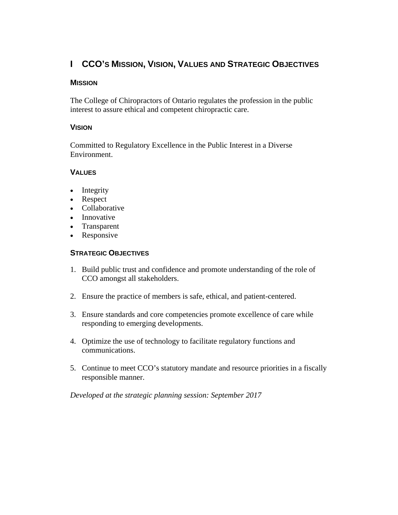## **I CCO'S MISSION, VISION, VALUES AND STRATEGIC OBJECTIVES**

#### **MISSION**

The College of Chiropractors of Ontario regulates the profession in the public interest to assure ethical and competent chiropractic care.

#### **VISION**

Committed to Regulatory Excellence in the Public Interest in a Diverse Environment.

### **VALUES**

- Integrity
- Respect
- Collaborative
- Innovative
- Transparent
- Responsive

### **STRATEGIC OBJECTIVES**

- 1. Build public trust and confidence and promote understanding of the role of CCO amongst all stakeholders.
- 2. Ensure the practice of members is safe, ethical, and patient-centered.
- 3. Ensure standards and core competencies promote excellence of care while responding to emerging developments.
- 4. Optimize the use of technology to facilitate regulatory functions and communications.
- 5. Continue to meet CCO's statutory mandate and resource priorities in a fiscally responsible manner.

*Developed at the strategic planning session: September 2017*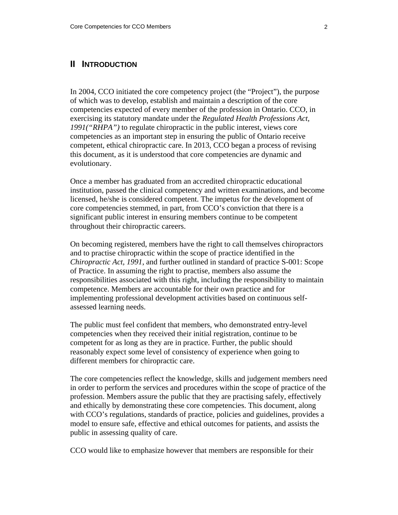#### **II INTRODUCTION**

In 2004, CCO initiated the core competency project (the "Project"), the purpose of which was to develop, establish and maintain a description of the core competencies expected of every member of the profession in Ontario. CCO, in exercising its statutory mandate under the *Regulated Health Professions Act, 1991("RHPA")* to regulate chiropractic in the public interest, views core competencies as an important step in ensuring the public of Ontario receive competent, ethical chiropractic care. In 2013, CCO began a process of revising this document, as it is understood that core competencies are dynamic and evolutionary.

Once a member has graduated from an accredited chiropractic educational institution, passed the clinical competency and written examinations, and become licensed, he/she is considered competent. The impetus for the development of core competencies stemmed, in part, from CCO's conviction that there is a significant public interest in ensuring members continue to be competent throughout their chiropractic careers.

On becoming registered, members have the right to call themselves chiropractors and to practise chiropractic within the scope of practice identified in the *Chiropractic Act, 1991*, and further outlined in standard of practice S-001: Scope of Practice. In assuming the right to practise, members also assume the responsibilities associated with this right, including the responsibility to maintain competence. Members are accountable for their own practice and for implementing professional development activities based on continuous selfassessed learning needs.

The public must feel confident that members, who demonstrated entry-level competencies when they received their initial registration, continue to be competent for as long as they are in practice. Further, the public should reasonably expect some level of consistency of experience when going to different members for chiropractic care.

The core competencies reflect the knowledge, skills and judgement members need in order to perform the services and procedures within the scope of practice of the profession. Members assure the public that they are practising safely, effectively and ethically by demonstrating these core competencies. This document, along with CCO's regulations, standards of practice, policies and guidelines, provides a model to ensure safe, effective and ethical outcomes for patients, and assists the public in assessing quality of care.

CCO would like to emphasize however that members are responsible for their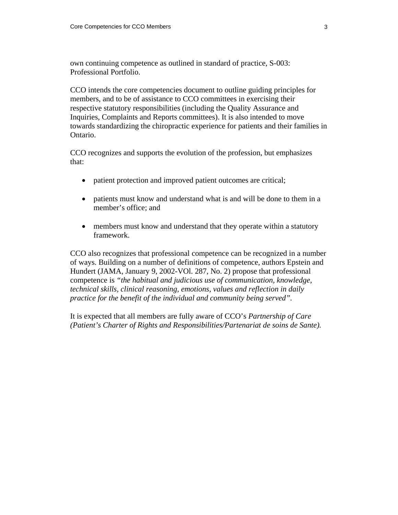own continuing competence as outlined in standard of practice, S-003: Professional Portfolio.

CCO intends the core competencies document to outline guiding principles for members, and to be of assistance to CCO committees in exercising their respective statutory responsibilities (including the Quality Assurance and Inquiries, Complaints and Reports committees). It is also intended to move towards standardizing the chiropractic experience for patients and their families in Ontario.

CCO recognizes and supports the evolution of the profession, but emphasizes that:

- patient protection and improved patient outcomes are critical;
- patients must know and understand what is and will be done to them in a member's office; and
- members must know and understand that they operate within a statutory framework.

CCO also recognizes that professional competence can be recognized in a number of ways. Building on a number of definitions of competence, authors Epstein and Hundert (JAMA, January 9, 2002-VOl. 287, No. 2) propose that professional competence is *"the habitual and judicious use of communication, knowledge, technical skills, clinical reasoning, emotions, values and reflection in daily practice for the benefit of the individual and community being served".* 

It is expected that all members are fully aware of CCO's *Partnership of Care (Patient's Charter of Rights and Responsibilities/Partenariat de soins de Sante).*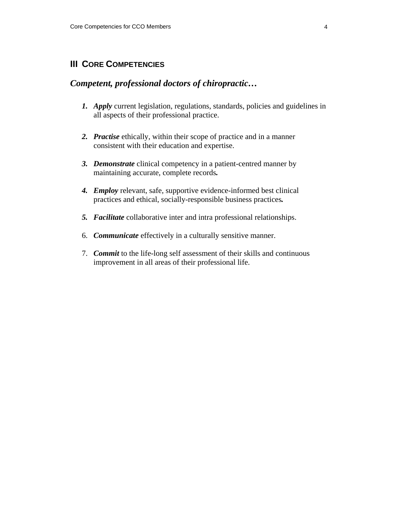## **III CORE COMPETENCIES**

## *Competent, professional doctors of chiropractic…*

- *1. Apply* current legislation, regulations, standards, policies and guidelines in all aspects of their professional practice.
- *2. Practise* ethically, within their scope of practice and in a manner consistent with their education and expertise.
- *3. Demonstrate* clinical competency in a patient-centred manner by maintaining accurate, complete records*.*
- *4. Employ* relevant, safe, supportive evidence-informed best clinical practices and ethical, socially-responsible business practices*.*
- *5. Facilitate* collaborative inter and intra professional relationships.
- 6. *Communicate* effectively in a culturally sensitive manner.
- 7. *Commit* to the life-long self assessment of their skills and continuous improvement in all areas of their professional life.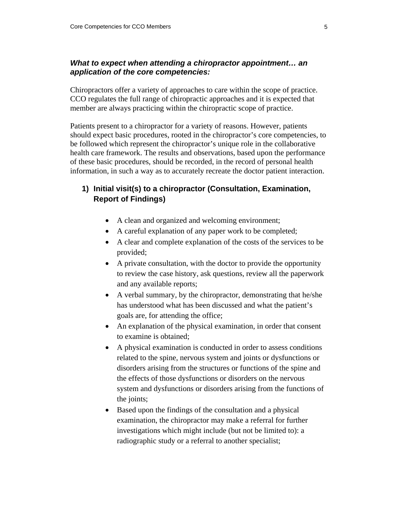#### *What to expect when attending a chiropractor appointment… an application of the core competencies:*

Chiropractors offer a variety of approaches to care within the scope of practice. CCO regulates the full range of chiropractic approaches and it is expected that member are always practicing within the chiropractic scope of practice.

Patients present to a chiropractor for a variety of reasons. However, patients should expect basic procedures, rooted in the chiropractor's core competencies, to be followed which represent the chiropractor's unique role in the collaborative health care framework. The results and observations, based upon the performance of these basic procedures, should be recorded, in the record of personal health information, in such a way as to accurately recreate the doctor patient interaction.

### **1) Initial visit(s) to a chiropractor (Consultation, Examination, Report of Findings)**

- A clean and organized and welcoming environment;
- A careful explanation of any paper work to be completed;
- A clear and complete explanation of the costs of the services to be provided;
- A private consultation, with the doctor to provide the opportunity to review the case history, ask questions, review all the paperwork and any available reports;
- A verbal summary, by the chiropractor, demonstrating that he/she has understood what has been discussed and what the patient's goals are, for attending the office;
- An explanation of the physical examination, in order that consent to examine is obtained;
- A physical examination is conducted in order to assess conditions related to the spine, nervous system and joints or dysfunctions or disorders arising from the structures or functions of the spine and the effects of those dysfunctions or disorders on the nervous system and dysfunctions or disorders arising from the functions of the joints;
- Based upon the findings of the consultation and a physical examination, the chiropractor may make a referral for further investigations which might include (but not be limited to): a radiographic study or a referral to another specialist;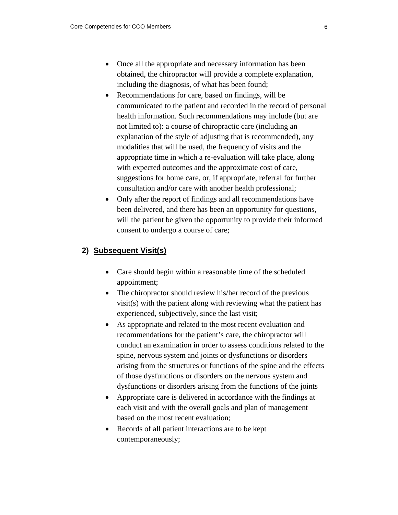- Once all the appropriate and necessary information has been obtained, the chiropractor will provide a complete explanation, including the diagnosis, of what has been found;
- Recommendations for care, based on findings, will be communicated to the patient and recorded in the record of personal health information. Such recommendations may include (but are not limited to): a course of chiropractic care (including an explanation of the style of adjusting that is recommended), any modalities that will be used, the frequency of visits and the appropriate time in which a re-evaluation will take place, along with expected outcomes and the approximate cost of care, suggestions for home care, or, if appropriate, referral for further consultation and/or care with another health professional;
- Only after the report of findings and all recommendations have been delivered, and there has been an opportunity for questions, will the patient be given the opportunity to provide their informed consent to undergo a course of care;

#### **2) Subsequent Visit(s)**

- Care should begin within a reasonable time of the scheduled appointment;
- The chiropractor should review his/her record of the previous visit(s) with the patient along with reviewing what the patient has experienced, subjectively, since the last visit;
- As appropriate and related to the most recent evaluation and recommendations for the patient's care, the chiropractor will conduct an examination in order to assess conditions related to the spine, nervous system and joints or dysfunctions or disorders arising from the structures or functions of the spine and the effects of those dysfunctions or disorders on the nervous system and dysfunctions or disorders arising from the functions of the joints
- Appropriate care is delivered in accordance with the findings at each visit and with the overall goals and plan of management based on the most recent evaluation;
- Records of all patient interactions are to be kept contemporaneously;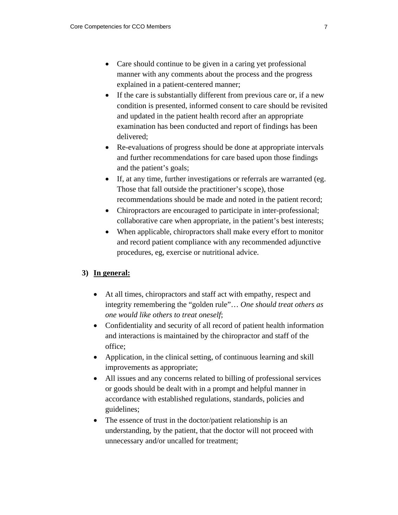- Care should continue to be given in a caring yet professional manner with any comments about the process and the progress explained in a patient-centered manner;
- If the care is substantially different from previous care or, if a new condition is presented, informed consent to care should be revisited and updated in the patient health record after an appropriate examination has been conducted and report of findings has been delivered;
- Re-evaluations of progress should be done at appropriate intervals and further recommendations for care based upon those findings and the patient's goals;
- If, at any time, further investigations or referrals are warranted (eg. Those that fall outside the practitioner's scope), those recommendations should be made and noted in the patient record;
- Chiropractors are encouraged to participate in inter-professional; collaborative care when appropriate, in the patient's best interests;
- When applicable, chiropractors shall make every effort to monitor and record patient compliance with any recommended adjunctive procedures, eg, exercise or nutritional advice.

## **3) In general:**

- At all times, chiropractors and staff act with empathy, respect and integrity remembering the "golden rule"… *One should treat others as one would like others to treat oneself*;
- Confidentiality and security of all record of patient health information and interactions is maintained by the chiropractor and staff of the office;
- Application, in the clinical setting, of continuous learning and skill improvements as appropriate;
- All issues and any concerns related to billing of professional services or goods should be dealt with in a prompt and helpful manner in accordance with established regulations, standards, policies and guidelines;
- The essence of trust in the doctor/patient relationship is an understanding, by the patient, that the doctor will not proceed with unnecessary and/or uncalled for treatment;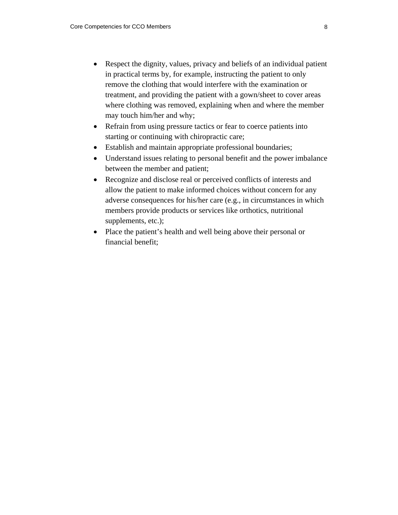- Respect the dignity, values, privacy and beliefs of an individual patient in practical terms by, for example, instructing the patient to only remove the clothing that would interfere with the examination or treatment, and providing the patient with a gown/sheet to cover areas where clothing was removed, explaining when and where the member may touch him/her and why;
- Refrain from using pressure tactics or fear to coerce patients into starting or continuing with chiropractic care;
- Establish and maintain appropriate professional boundaries;
- Understand issues relating to personal benefit and the power imbalance between the member and patient;
- Recognize and disclose real or perceived conflicts of interests and allow the patient to make informed choices without concern for any adverse consequences for his/her care (e.g., in circumstances in which members provide products or services like orthotics, nutritional supplements, etc.);
- Place the patient's health and well being above their personal or financial benefit;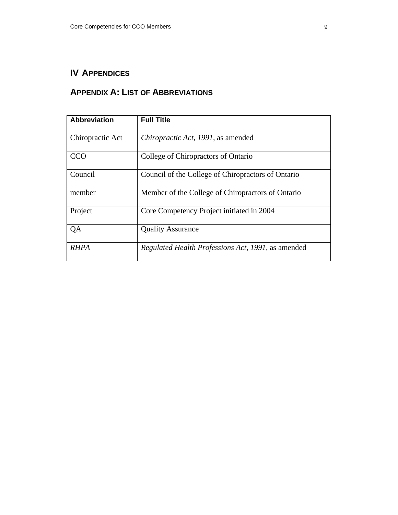## **IV APPENDICES**

## **APPENDIX A: LIST OF ABBREVIATIONS**

| <b>Abbreviation</b> | <b>Full Title</b>                                  |
|---------------------|----------------------------------------------------|
| Chiropractic Act    | Chiropractic Act, 1991, as amended                 |
| CCO                 | College of Chiropractors of Ontario                |
| Council             | Council of the College of Chiropractors of Ontario |
| member              | Member of the College of Chiropractors of Ontario  |
| Project             | Core Competency Project initiated in 2004          |
| QA                  | <b>Quality Assurance</b>                           |
| <i>RHPA</i>         | Regulated Health Professions Act, 1991, as amended |